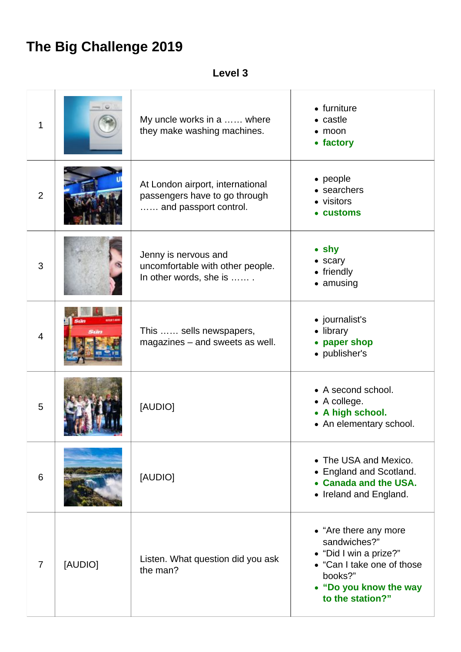## **The Big Challenge 2019**

## **Level 3**

| 1              |         | My uncle works in a  where<br>they make washing machines.                                  | • furniture<br>• castle<br>$\bullet$ moon<br>• factory                                                                                                 |
|----------------|---------|--------------------------------------------------------------------------------------------|--------------------------------------------------------------------------------------------------------------------------------------------------------|
| $\overline{2}$ |         | At London airport, international<br>passengers have to go through<br>and passport control. | • people<br>• searchers<br>• visitors<br>• customs                                                                                                     |
| 3              |         | Jenny is nervous and<br>uncomfortable with other people.<br>In other words, she is         | $\bullet$ shy<br>• scary<br>• friendly<br>• amusing                                                                                                    |
| $\overline{4}$ |         | This  sells newspapers,<br>magazines - and sweets as well.                                 | • journalist's<br>• library<br>paper shop<br>$\bullet$<br>• publisher's                                                                                |
| 5              |         | [AUDIO]                                                                                    | • A second school.<br>• A college.<br>• A high school.<br>• An elementary school.                                                                      |
| 6              |         | [AUDIO]                                                                                    | • The USA and Mexico.<br>• England and Scotland.<br>• Canada and the USA.<br>• Ireland and England.                                                    |
| 7              | [AUDIO] | Listen. What question did you ask<br>the man?                                              | • "Are there any more<br>sandwiches?"<br>• "Did I win a prize?"<br>• "Can I take one of those<br>books?"<br>• "Do you know the way<br>to the station?" |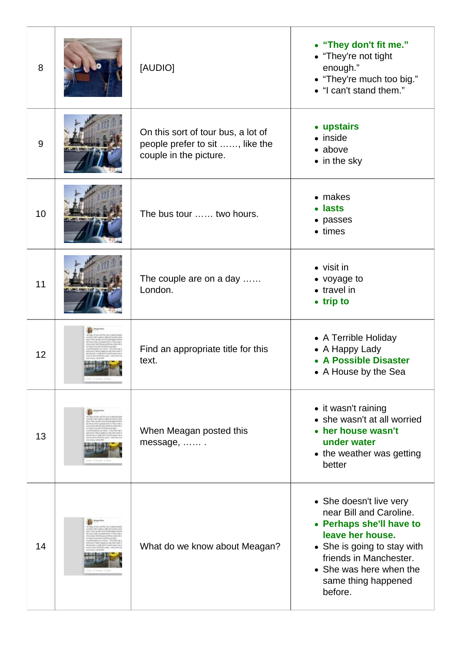| 8  | [AUDIO]                                                                                         | • "They don't fit me."<br>• "They're not tight<br>enough."<br>• "They're much too big."<br>• "I can't stand them."                                                                                                       |
|----|-------------------------------------------------------------------------------------------------|--------------------------------------------------------------------------------------------------------------------------------------------------------------------------------------------------------------------------|
| 9  | On this sort of tour bus, a lot of<br>people prefer to sit , like the<br>couple in the picture. | • upstairs<br>• inside<br>• above<br>• in the sky                                                                                                                                                                        |
| 10 | The bus tour  two hours.                                                                        | • makes<br>• lasts<br>• passes<br>$\bullet$ times                                                                                                                                                                        |
| 11 | The couple are on a day<br>London.                                                              | • visit in<br>• voyage to<br>• travel in<br>• trip to                                                                                                                                                                    |
| 12 | Find an appropriate title for this<br>text.                                                     | • A Terrible Holiday<br>• A Happy Lady<br>• A Possible Disaster<br>• A House by the Sea                                                                                                                                  |
| 13 | When Meagan posted this<br>message,                                                             | • it wasn't raining<br>• she wasn't at all worried<br>• her house wasn't<br>under water<br>• the weather was getting<br>better                                                                                           |
| 14 | What do we know about Meagan?                                                                   | • She doesn't live very<br>near Bill and Caroline.<br>• Perhaps she'll have to<br>leave her house.<br>• She is going to stay with<br>friends in Manchester.<br>• She was here when the<br>same thing happened<br>before. |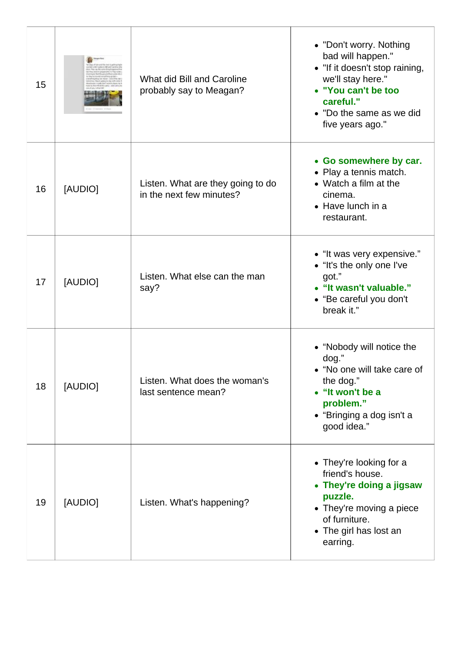| 15 |         | What did Bill and Caroline<br>probably say to Meagan?         | • "Don't worry. Nothing<br>bad will happen."<br>• "If it doesn't stop raining,<br>we'll stay here."<br>• "You can't be too<br>careful."<br>• "Do the same as we did<br>five years ago." |
|----|---------|---------------------------------------------------------------|-----------------------------------------------------------------------------------------------------------------------------------------------------------------------------------------|
| 16 | [AUDIO] | Listen. What are they going to do<br>in the next few minutes? | • Go somewhere by car.<br>• Play a tennis match.<br>• Watch a film at the<br>cinema.<br>$\bullet$ Have lunch in a<br>restaurant.                                                        |
| 17 | [AUDIO] | Listen. What else can the man<br>say?                         | • "It was very expensive."<br>• "It's the only one I've<br>got."<br>• "It wasn't valuable."<br>• "Be careful you don't<br>break it."                                                    |
| 18 | [AUDIO] | Listen. What does the woman's<br>last sentence mean?          | • "Nobody will notice the<br>dog."<br>• "No one will take care of<br>the dog."<br>• "It won't be a<br>problem."<br>• "Bringing a dog isn't a<br>good idea."                             |
| 19 | [AUDIO] | Listen. What's happening?                                     | • They're looking for a<br>friend's house.<br>• They're doing a jigsaw<br>puzzle.<br>• They're moving a piece<br>of furniture.<br>• The girl has lost an<br>earring.                    |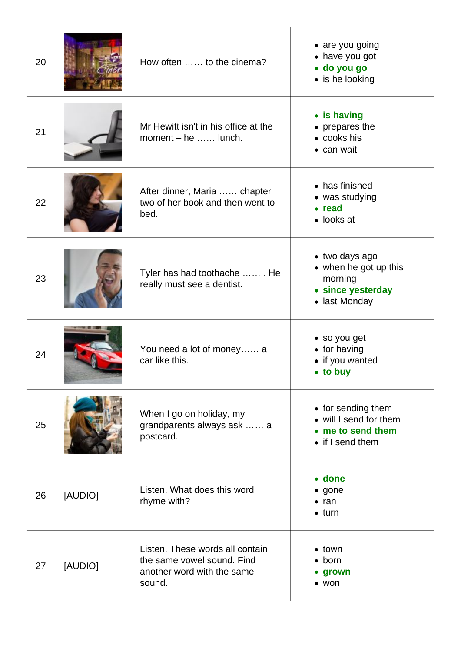| 20 |         | How often  to the cinema?                                                                             | • are you going<br>• have you got<br>· do you go<br>• is he looking                      |
|----|---------|-------------------------------------------------------------------------------------------------------|------------------------------------------------------------------------------------------|
| 21 |         | Mr Hewitt isn't in his office at the<br>moment - he  lunch.                                           | • is having<br>• prepares the<br>• cooks his<br>• can wait                               |
| 22 |         | After dinner, Maria  chapter<br>two of her book and then went to<br>bed.                              | • has finished<br>• was studying<br>• read<br>• looks at                                 |
| 23 |         | Tyler has had toothache  He<br>really must see a dentist.                                             | • two days ago<br>• when he got up this<br>morning<br>• since yesterday<br>• last Monday |
| 24 |         | You need a lot of money a<br>car like this.                                                           | • so you get<br>• for having<br>• if you wanted<br>• to buy                              |
| 25 |         | When I go on holiday, my<br>grandparents always ask  a<br>postcard.                                   | • for sending them<br>• will I send for them<br>• me to send them<br>• if I send them    |
| 26 | [AUDIO] | Listen. What does this word<br>rhyme with?                                                            | • done<br>$\bullet$ gone<br>$\bullet$ ran<br>$\bullet$ turn                              |
| 27 | [AUDIO] | Listen. These words all contain<br>the same vowel sound. Find<br>another word with the same<br>sound. | • town<br>$\bullet$ born<br>grown<br>$\bullet$ won                                       |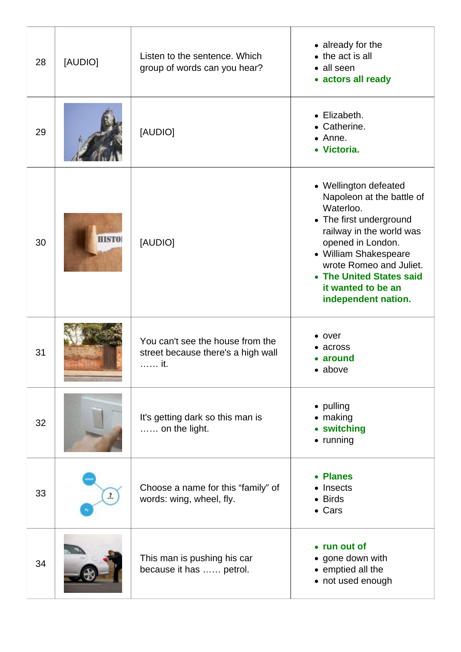| 28 | [AUDIO]      | Listen to the sentence. Which<br>group of words can you hear?                   | • already for the<br>$\bullet$ the act is all<br>• all seen<br>• actors all ready                                                                                                                                                                                        |
|----|--------------|---------------------------------------------------------------------------------|--------------------------------------------------------------------------------------------------------------------------------------------------------------------------------------------------------------------------------------------------------------------------|
| 29 |              | [AUDIO]                                                                         | • Elizabeth.<br>• Catherine.<br>• Anne.<br>• Victoria.                                                                                                                                                                                                                   |
| 30 | <b>HISTO</b> | [AUDIO]                                                                         | • Wellington defeated<br>Napoleon at the battle of<br>Waterloo.<br>• The first underground<br>railway in the world was<br>opened in London.<br>• William Shakespeare<br>wrote Romeo and Juliet.<br>• The United States said<br>it wanted to be an<br>independent nation. |
| 31 |              | You can't see the house from the<br>street because there's a high wall<br>. it. | $\bullet$ over<br>across<br>around<br>• above                                                                                                                                                                                                                            |
| 32 |              | It's getting dark so this man is<br>on the light.                               | • pulling<br>$\bullet$ making<br>• switching<br>$\bullet$ running                                                                                                                                                                                                        |
| 33 | $\mathbf{r}$ | Choose a name for this "family" of<br>words: wing, wheel, fly.                  | • Planes<br>• Insects<br>• Birds<br>• Cars                                                                                                                                                                                                                               |
| 34 |              | This man is pushing his car<br>because it has  petrol.                          | • run out of<br>• gone down with<br>• emptied all the<br>• not used enough                                                                                                                                                                                               |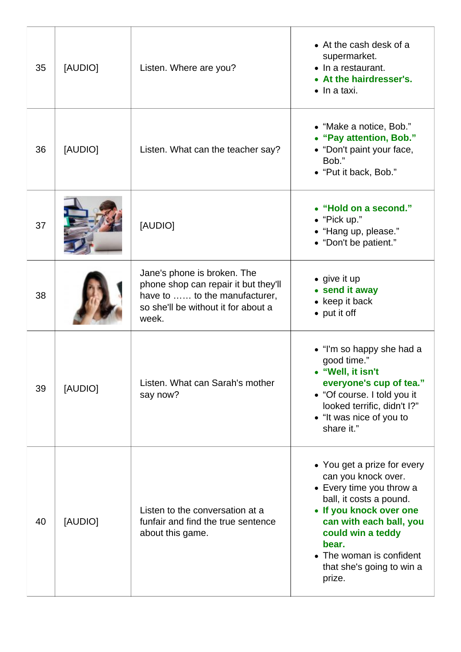| 35 | [AUDIO] | Listen. Where are you?                                                                                                                               | • At the cash desk of a<br>supermarket.<br>$\bullet$ In a restaurant.<br>• At the hairdresser's.<br>$\bullet$ In a taxi.                                                                                                                                         |
|----|---------|------------------------------------------------------------------------------------------------------------------------------------------------------|------------------------------------------------------------------------------------------------------------------------------------------------------------------------------------------------------------------------------------------------------------------|
| 36 | [AUDIO] | Listen. What can the teacher say?                                                                                                                    | • "Make a notice, Bob."<br>• "Pay attention, Bob."<br>• "Don't paint your face,<br>Bob."<br>• "Put it back, Bob."                                                                                                                                                |
| 37 |         | [AUDIO]                                                                                                                                              | • "Hold on a second."<br>• "Pick up."<br>• "Hang up, please."<br>• "Don't be patient."                                                                                                                                                                           |
| 38 |         | Jane's phone is broken. The<br>phone shop can repair it but they'll<br>have to  to the manufacturer,<br>so she'll be without it for about a<br>week. | $\bullet$ give it up<br>• send it away<br>• keep it back<br>• put it off                                                                                                                                                                                         |
| 39 | [AUDIO] | Listen. What can Sarah's mother<br>say now?                                                                                                          | • "I'm so happy she had a<br>good time."<br>"Well, it isn't<br>everyone's cup of tea."<br>• "Of course. I told you it<br>looked terrific, didn't I?"<br>• "It was nice of you to<br>share it."                                                                   |
| 40 | [AUDIO] | Listen to the conversation at a<br>funfair and find the true sentence<br>about this game.                                                            | • You get a prize for every<br>can you knock over.<br>• Every time you throw a<br>ball, it costs a pound.<br>• If you knock over one<br>can with each ball, you<br>could win a teddy<br>bear.<br>• The woman is confident<br>that she's going to win a<br>prize. |